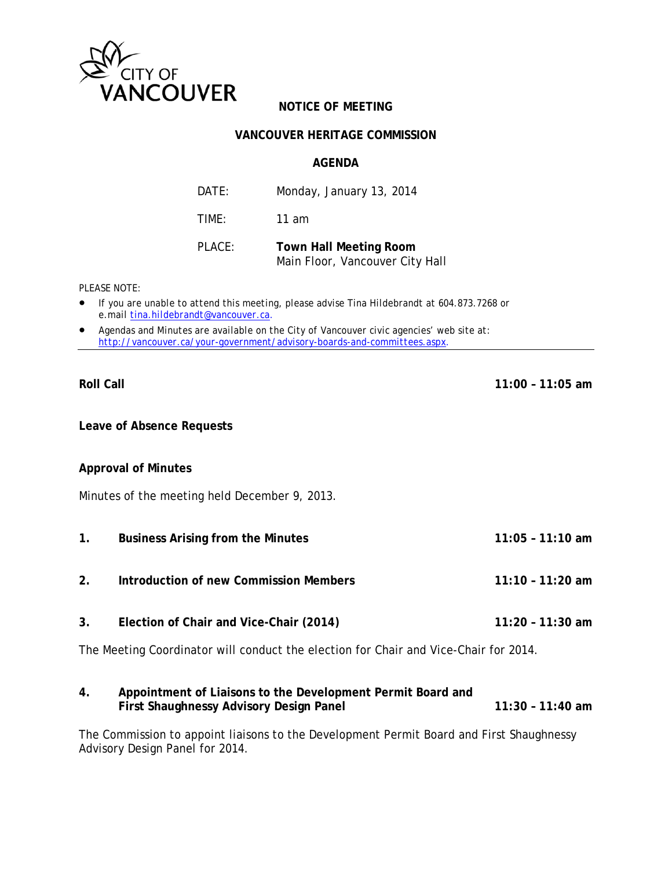

# **NOTICE OF MEETING**

## **VANCOUVER HERITAGE COMMISSION**

### **AGENDA**

| DATE:  | Monday, January 13, 2014                                         |
|--------|------------------------------------------------------------------|
| TIME:  | 11 am                                                            |
| PLACE: | <b>Town Hall Meeting Room</b><br>Main Floor, Vancouver City Hall |

*PLEASE NOTE:* 

- *If you are unable to attend this meeting, please advise Tina Hildebrandt at 604.873.7268 or e.mail tina.hildebrandt@vancouver.ca*.
- *Agendas and Minutes are available on the City of Vancouver civic agencies' web site at: http://vancouver.ca/your-government/advisory-boards-and-committees.aspx*.

**Roll Call 11:00 – 11:05 am** 

**Leave of Absence Requests** 

## **Approval of Minutes**

Minutes of the meeting held December 9, 2013.

- **1. Business Arising from the Minutes 11:05 11:10 am**
- **2. Introduction of new Commission Members 11:10 11:20 am**
- **3. Election of Chair and Vice-Chair (2014) 11:20 11:30 am**

The Meeting Coordinator will conduct the election for Chair and Vice-Chair for 2014.

**4. Appointment of Liaisons to the Development Permit Board and First Shaughnessy Advisory Design Panel 11:30 - 11:40 am 11:30 - 11:40 am** 

The Commission to appoint liaisons to the Development Permit Board and First Shaughnessy Advisory Design Panel for 2014.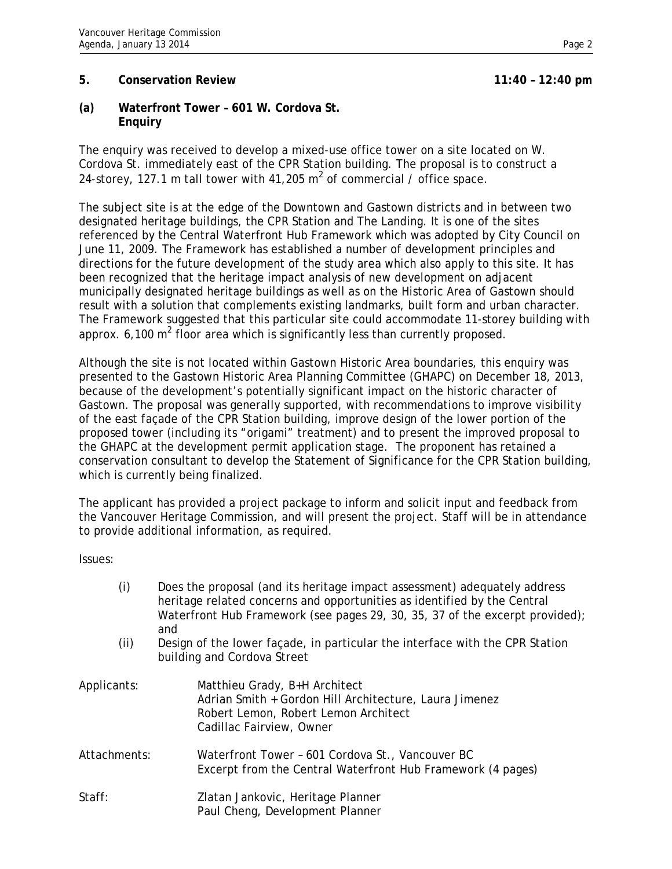# **5. Conservation Review 11:40 – 12:40 pm**

**(a) Waterfront Tower – 601 W. Cordova St. Enquiry** 

The enquiry was received to develop a mixed-use office tower on a site located on W. Cordova St. immediately east of the CPR Station building. The proposal is to construct a 24-storey, 127.1 m tall tower with 41,205  $m^2$  of commercial / office space.

The subject site is at the edge of the Downtown and Gastown districts and in between two designated heritage buildings, the CPR Station and The Landing. It is one of the sites referenced by the Central Waterfront Hub Framework which was adopted by City Council on June 11, 2009. The Framework has established a number of development principles and directions for the future development of the study area which also apply to this site. It has been recognized that the heritage impact analysis of new development on adjacent municipally designated heritage buildings as well as on the Historic Area of Gastown should result with a solution that complements existing landmarks, built form and urban character. The Framework suggested that this particular site could accommodate 11-storey building with approx. 6,100 m<sup>2</sup> floor area which is significantly less than currently proposed.

Although the site is not located within Gastown Historic Area boundaries, this enquiry was presented to the Gastown Historic Area Planning Committee (GHAPC) on December 18, 2013, because of the development's potentially significant impact on the historic character of Gastown. The proposal was generally supported, with recommendations to improve visibility of the east façade of the CPR Station building, improve design of the lower portion of the proposed tower (including its "origami" treatment) and to present the improved proposal to the GHAPC at the development permit application stage. The proponent has retained a conservation consultant to develop the Statement of Significance for the CPR Station building, which is currently being finalized.

The applicant has provided a project package to inform and solicit input and feedback from the Vancouver Heritage Commission, and will present the project. Staff will be in attendance to provide additional information, as required.

Issues:

| (i)          | Does the proposal (and its heritage impact assessment) adequately address<br>heritage related concerns and opportunities as identified by the Central<br>Waterfront Hub Framework (see pages 29, 30, 35, 37 of the excerpt provided);<br>and |  |
|--------------|----------------------------------------------------------------------------------------------------------------------------------------------------------------------------------------------------------------------------------------------|--|
| (ii)         | Design of the lower façade, in particular the interface with the CPR Station<br>building and Cordova Street                                                                                                                                  |  |
| Applicants:  | Matthieu Grady, B+H Architect<br>Adrian Smith + Gordon Hill Architecture, Laura Jimenez<br>Robert Lemon, Robert Lemon Architect<br>Cadillac Fairview, Owner                                                                                  |  |
| Attachments: | Waterfront Tower - 601 Cordova St., Vancouver BC<br>Excerpt from the Central Waterfront Hub Framework (4 pages)                                                                                                                              |  |
| Staff:       | Zlatan Jankovic, Heritage Planner<br>Paul Cheng, Development Planner                                                                                                                                                                         |  |